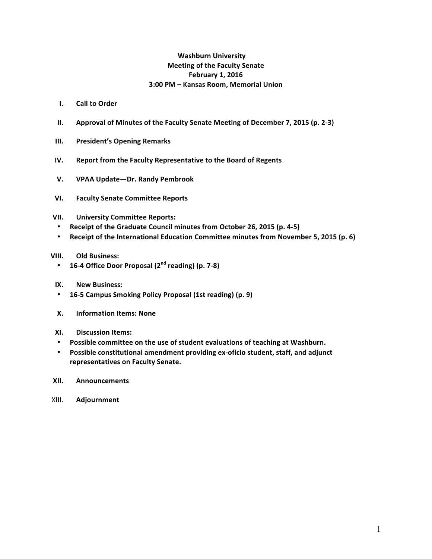## **Washburn University Meeting of the Faculty Senate February 1, 2016 3:00 PM – Kansas Room, Memorial Union**

- **I.** Call to Order
- **II.** Approval of Minutes of the Faculty Senate Meeting of December 7, 2015 (p. 2-3)
- **III.** President's Opening Remarks
- **IV.** Report from the Faculty Representative to the Board of Regents
- **V. VPAA Update—Dr. Randy Pembrook**
- **VI. Faculty Senate Committee Reports**
- **VII. University Committee Reports:**
- **Receipt of the Graduate Council minutes from October 26, 2015 (p. 4-5)**
- Receipt of the International Education Committee minutes from November 5, 2015 (p. 6)
- **VIII. Old Business:** 
	- **16-4 Office Door Proposal (2nd reading) (p. 7-8)**
- **IX. New Business:**
- **16-5 Campus Smoking Policy Proposal (1st reading) (p. 9)**
- **X. Information Items: None**
- **XI. Discussion Items:**
- Possible committee on the use of student evaluations of teaching at Washburn.
- Possible constitutional amendment providing ex-oficio student, staff, and adjunct **representatives on Faculty Senate.**
- **XII. Announcements**
- XIII. **Adjournment**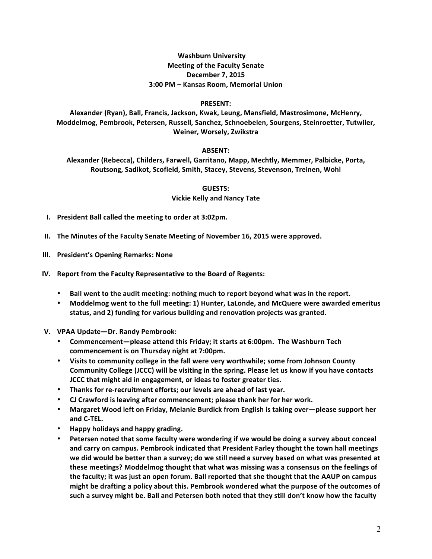### **Washburn University Meeting of the Faculty Senate December 7, 2015 3:00 PM – Kansas Room, Memorial Union**

#### **PRESENT:**

Alexander (Ryan), Ball, Francis, Jackson, Kwak, Leung, Mansfield, Mastrosimone, McHenry, Moddelmog, Pembrook, Petersen, Russell, Sanchez, Schnoebelen, Sourgens, Steinroetter, Tutwiler, **Weiner, Worsely, Zwikstra** 

#### **ABSENT:**

Alexander (Rebecca), Childers, Farwell, Garritano, Mapp, Mechtly, Memmer, Palbicke, Porta, Routsong, Sadikot, Scofield, Smith, Stacey, Stevens, Stevenson, Treinen, Wohl

> **GUESTS: Vickie Kelly and Nancy Tate**

- **I.** President Ball called the meeting to order at 3:02pm.
- **II.** The Minutes of the Faculty Senate Meeting of November 16, 2015 were approved.
- **III.** President's Opening Remarks: None
- **IV.** Report from the Faculty Representative to the Board of Regents:
	- **Ball went to the audit meeting: nothing much to report beyond what was in the report.**
	- Moddelmog went to the full meeting: 1) Hunter, LaLonde, and McQuere were awarded emeritus status, and 2) funding for various building and renovation projects was granted.
- **V. VPAA Update—Dr. Randy Pembrook:**
	- Commencement-please attend this Friday; it starts at 6:00pm. The Washburn Tech commencement is on Thursday night at 7:00pm.
	- Visits to community college in the fall were very worthwhile; some from Johnson County **Community College (JCCC) will be visiting in the spring. Please let us know if you have contacts JCCC** that might aid in engagement, or ideas to foster greater ties.
	- Thanks for re-recruitment efforts; our levels are ahead of last year.
	- CJ Crawford is leaving after commencement; please thank her for her work.
	- **Margaret Wood left on Friday, Melanie Burdick from English is taking over—please support her and C-TEL.**
	- **Happy holidays and happy grading.**
	- Petersen noted that some faculty were wondering if we would be doing a survey about conceal and carry on campus. Pembrook indicated that President Farley thought the town hall meetings we did would be better than a survey; do we still need a survey based on what was presented at these meetings? Moddelmog thought that what was missing was a consensus on the feelings of the faculty; it was just an open forum. Ball reported that she thought that the AAUP on campus might be drafting a policy about this. Pembrook wondered what the purpose of the outcomes of such a survey might be. Ball and Petersen both noted that they still don't know how the faculty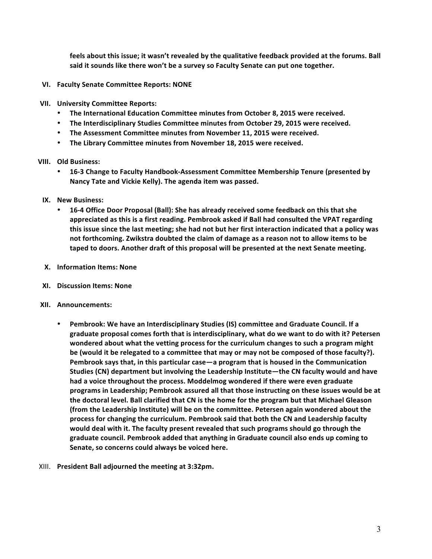feels about this issue; it wasn't revealed by the qualitative feedback provided at the forums. Ball said it sounds like there won't be a survey so Faculty Senate can put one together.

- **VI. Faculty Senate Committee Reports: NONE**
- **VII. University Committee Reports:**
	- The International Education Committee minutes from October 8, 2015 were received.
	- The Interdisciplinary Studies Committee minutes from October 29, 2015 were received.
	- The Assessment Committee minutes from November 11, 2015 were received.
	- The Library Committee minutes from November 18, 2015 were received.

#### **VIII.** Old Business:

- 16-3 Change to Faculty Handbook-Assessment Committee Membership Tenure (presented by Nancy Tate and Vickie Kelly). The agenda item was passed.
- **IX. New Business:** 
	- 16-4 Office Door Proposal (Ball): She has already received some feedback on this that she appreciated as this is a first reading. Pembrook asked if Ball had consulted the VPAT regarding this issue since the last meeting; she had not but her first interaction indicated that a policy was not forthcoming. Zwikstra doubted the claim of damage as a reason not to allow items to be taped to doors. Another draft of this proposal will be presented at the next Senate meeting.
- **X. Information Items: None**
- **XI. Discussion Items: None**
- **XII.** Announcements:
	- Pembrook: We have an Interdisciplinary Studies (IS) committee and Graduate Council. If a graduate proposal comes forth that is interdisciplinary, what do we want to do with it? Petersen wondered about what the vetting process for the curriculum changes to such a program might be (would it be relegated to a committee that may or may not be composed of those faculty?). **Pembrook says that, in this particular case—a program that is housed in the Communication** Studies (CN) department but involving the Leadership Institute—the CN faculty would and have had a voice throughout the process. Moddelmog wondered if there were even graduate programs in Leadership; Pembrook assured all that those instructing on these issues would be at **the doctoral level. Ball clarified that CN is the home for the program but that Michael Gleason (from the Leadership Institute) will be on the committee. Petersen again wondered about the** process for changing the curriculum. Pembrook said that both the CN and Leadership faculty would deal with it. The faculty present revealed that such programs should go through the graduate council. Pembrook added that anything in Graduate council also ends up coming to Senate, so concerns could always be voiced here.
- XIII. President Ball adjourned the meeting at 3:32pm.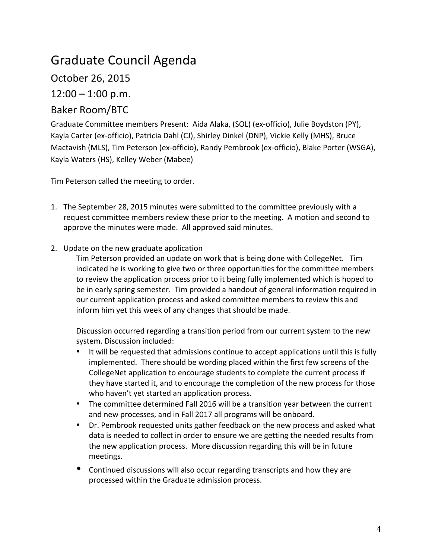# Graduate Council Agenda

October 26, 2015

 $12:00 - 1:00$  p.m.

## Baker Room/BTC

Graduate Committee members Present: Aida Alaka, (SOL) (ex-officio), Julie Boydston (PY), Kayla Carter (ex-officio), Patricia Dahl (CJ), Shirley Dinkel (DNP), Vickie Kelly (MHS), Bruce Mactavish (MLS), Tim Peterson (ex-officio), Randy Pembrook (ex-officio), Blake Porter (WSGA), Kayla Waters (HS), Kelley Weber (Mabee)

Tim Peterson called the meeting to order.

- 1. The September 28, 2015 minutes were submitted to the committee previously with a request committee members review these prior to the meeting. A motion and second to approve the minutes were made. All approved said minutes.
- 2. Update on the new graduate application

Tim Peterson provided an update on work that is being done with CollegeNet. Tim indicated he is working to give two or three opportunities for the committee members to review the application process prior to it being fully implemented which is hoped to be in early spring semester. Tim provided a handout of general information required in our current application process and asked committee members to review this and inform him yet this week of any changes that should be made.

Discussion occurred regarding a transition period from our current system to the new system. Discussion included:

- It will be requested that admissions continue to accept applications until this is fully implemented. There should be wording placed within the first few screens of the CollegeNet application to encourage students to complete the current process if they have started it, and to encourage the completion of the new process for those who haven't yet started an application process.
- The committee determined Fall 2016 will be a transition year between the current and new processes, and in Fall 2017 all programs will be onboard.
- Dr. Pembrook requested units gather feedback on the new process and asked what data is needed to collect in order to ensure we are getting the needed results from the new application process. More discussion regarding this will be in future meetings.
- Continued discussions will also occur regarding transcripts and how they are processed within the Graduate admission process.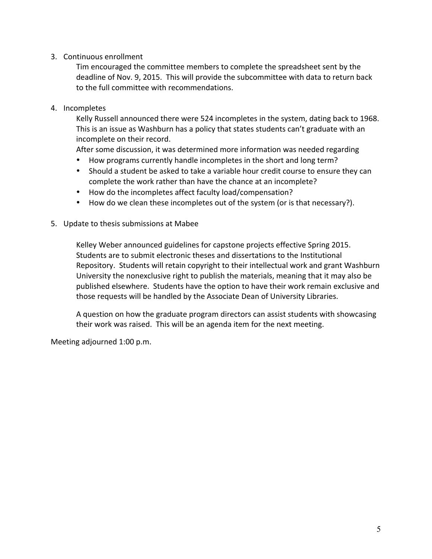## 3. Continuous enrollment

Tim encouraged the committee members to complete the spreadsheet sent by the deadline of Nov. 9, 2015. This will provide the subcommittee with data to return back to the full committee with recommendations.

## 4. Incompletes

Kelly Russell announced there were 524 incompletes in the system, dating back to 1968. This is an issue as Washburn has a policy that states students can't graduate with an incomplete on their record.

After some discussion, it was determined more information was needed regarding

- How programs currently handle incompletes in the short and long term?
- Should a student be asked to take a variable hour credit course to ensure they can complete the work rather than have the chance at an incomplete?
- How do the incompletes affect faculty load/compensation?
- How do we clean these incompletes out of the system (or is that necessary?).
- 5. Update to thesis submissions at Mabee

Kelley Weber announced guidelines for capstone projects effective Spring 2015. Students are to submit electronic theses and dissertations to the Institutional Repository. Students will retain copyright to their intellectual work and grant Washburn University the nonexclusive right to publish the materials, meaning that it may also be published elsewhere. Students have the option to have their work remain exclusive and those requests will be handled by the Associate Dean of University Libraries.

A question on how the graduate program directors can assist students with showcasing their work was raised. This will be an agenda item for the next meeting.

Meeting adjourned 1:00 p.m.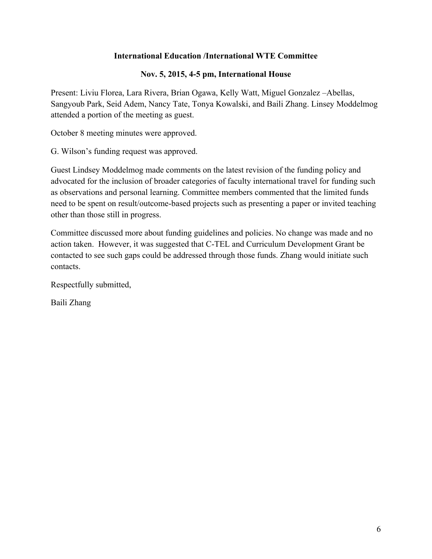## **International Education /International WTE Committee**

## **Nov. 5, 2015, 4-5 pm, International House**

Present: Liviu Florea, Lara Rivera, Brian Ogawa, Kelly Watt, Miguel Gonzalez –Abellas, Sangyoub Park, Seid Adem, Nancy Tate, Tonya Kowalski, and Baili Zhang. Linsey Moddelmog attended a portion of the meeting as guest.

October 8 meeting minutes were approved.

G. Wilson's funding request was approved.

Guest Lindsey Moddelmog made comments on the latest revision of the funding policy and advocated for the inclusion of broader categories of faculty international travel for funding such as observations and personal learning. Committee members commented that the limited funds need to be spent on result/outcome-based projects such as presenting a paper or invited teaching other than those still in progress.

Committee discussed more about funding guidelines and policies. No change was made and no action taken. However, it was suggested that C-TEL and Curriculum Development Grant be contacted to see such gaps could be addressed through those funds. Zhang would initiate such contacts.

Respectfully submitted,

Baili Zhang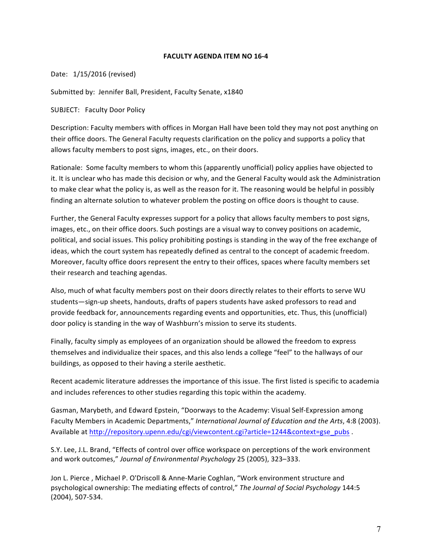#### **FACULTY AGENDA ITEM NO 16-4**

Date: 1/15/2016 (revised)

Submitted by: Jennifer Ball, President, Faculty Senate, x1840

SUBJECT: Faculty Door Policy

Description: Faculty members with offices in Morgan Hall have been told they may not post anything on their office doors. The General Faculty requests clarification on the policy and supports a policy that allows faculty members to post signs, images, etc., on their doors.

Rationale: Some faculty members to whom this (apparently unofficial) policy applies have objected to it. It is unclear who has made this decision or why, and the General Faculty would ask the Administration to make clear what the policy is, as well as the reason for it. The reasoning would be helpful in possibly finding an alternate solution to whatever problem the posting on office doors is thought to cause.

Further, the General Faculty expresses support for a policy that allows faculty members to post signs, images, etc., on their office doors. Such postings are a visual way to convey positions on academic, political, and social issues. This policy prohibiting postings is standing in the way of the free exchange of ideas, which the court system has repeatedly defined as central to the concept of academic freedom. Moreover, faculty office doors represent the entry to their offices, spaces where faculty members set their research and teaching agendas.

Also, much of what faculty members post on their doors directly relates to their efforts to serve WU students—sign-up sheets, handouts, drafts of papers students have asked professors to read and provide feedback for, announcements regarding events and opportunities, etc. Thus, this (unofficial) door policy is standing in the way of Washburn's mission to serve its students.

Finally, faculty simply as employees of an organization should be allowed the freedom to express themselves and individualize their spaces, and this also lends a college "feel" to the hallways of our buildings, as opposed to their having a sterile aesthetic.

Recent academic literature addresses the importance of this issue. The first listed is specific to academia and includes references to other studies regarding this topic within the academy.

Gasman, Marybeth, and Edward Epstein, "Doorways to the Academy: Visual Self-Expression among Faculty Members in Academic Departments," International Journal of Education and the Arts, 4:8 (2003). Available at http://repository.upenn.edu/cgi/viewcontent.cgi?article=1244&context=gse\_pubs .

S.Y. Lee, J.L. Brand, "Effects of control over office workspace on perceptions of the work environment and work outcomes," Journal of Environmental Psychology 25 (2005), 323-333.

Jon L. Pierce, Michael P. O'Driscoll & Anne-Marie Coghlan, "Work environment structure and psychological ownership: The mediating effects of control," The Journal of Social Psychology 144:5 (2004), 507-534.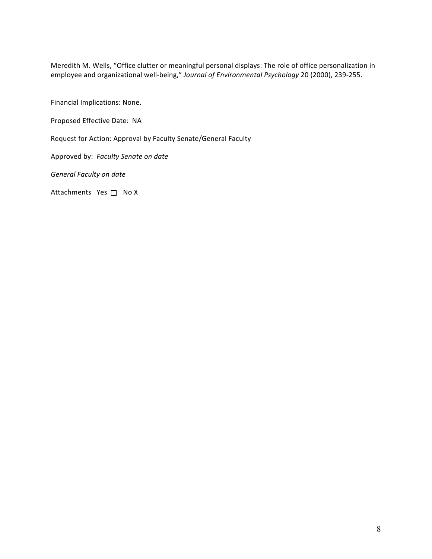Meredith M. Wells, "Office clutter or meaningful personal displays: The role of office personalization in employee and organizational well-being," Journal of Environmental Psychology 20 (2000), 239-255.

Financial Implications: None.

Proposed Effective Date: NA

Request for Action: Approval by Faculty Senate/General Faculty

Approved by: Faculty Senate on date

*General Faculty on date*

Attachments  $Yes \Box No X$